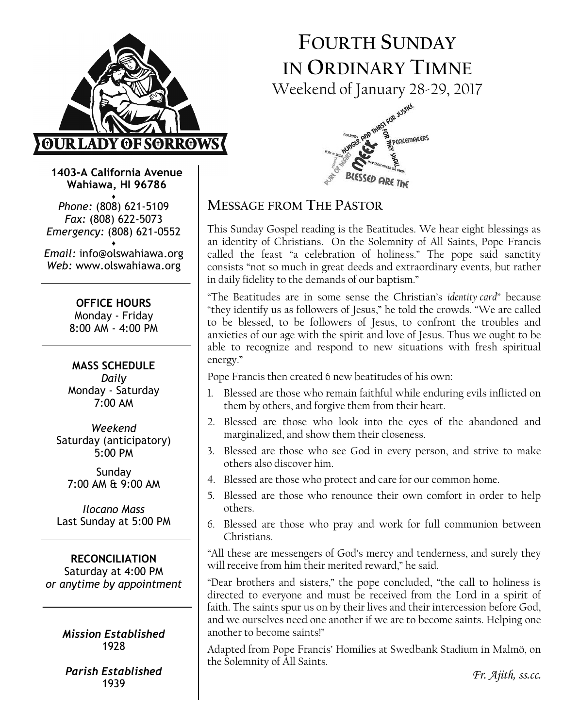

# FOURTH SUNDAY IN ORDINARY TIMNE Weekend of January 28-29, 2017



1403-A California Avenue Wahiawa, HI 96786 ♦

Phone: (808) 621-5109 Fax: (808) 622-5073 Emergency: (808) 621-0552 ♦

Email: info@olswahiawa.org Web: www.olswahiawa.org

> OFFICE HOURS Monday - Friday 8:00 AM - 4:00 PM

MASS SCHEDULE Daily Monday - Saturday 7:00 AM

Weekend Saturday (anticipatory) 5:00 PM

Sunday 7:00 AM & 9:00 AM

Ilocano Mass Last Sunday at 5:00 PM

RECONCILIATION Saturday at 4:00 PM or anytime by appointment

> Mission Established 1928

Parish Established 1939

## MESSAGE FROM THE PASTOR

This Sunday Gospel reading is the Beatitudes. We hear eight blessings as an identity of Christians. On the Solemnity of All Saints, Pope Francis called the feast "a celebration of holiness." The pope said sanctity consists "not so much in great deeds and extraordinary events, but rather in daily fidelity to the demands of our baptism."

"The Beatitudes are in some sense the Christian's identity card" because "they identify us as followers of Jesus," he told the crowds. "We are called to be blessed, to be followers of Jesus, to confront the troubles and anxieties of our age with the spirit and love of Jesus. Thus we ought to be able to recognize and respond to new situations with fresh spiritual energy."

Pope Francis then created 6 new beatitudes of his own:

- 1. Blessed are those who remain faithful while enduring evils inflicted on them by others, and forgive them from their heart.
- 2. Blessed are those who look into the eyes of the abandoned and marginalized, and show them their closeness.
- 3. Blessed are those who see God in every person, and strive to make others also discover him.
- 4. Blessed are those who protect and care for our common home.
- 5. Blessed are those who renounce their own comfort in order to help others.
- 6. Blessed are those who pray and work for full communion between Christians.

"All these are messengers of God's mercy and tenderness, and surely they will receive from him their merited reward," he said.

"Dear brothers and sisters," the pope concluded, "the call to holiness is directed to everyone and must be received from the Lord in a spirit of faith. The saints spur us on by their lives and their intercession before God, and we ourselves need one another if we are to become saints. Helping one another to become saints!"

Adapted from Pope Francis' Homilies at Swedbank Stadium in Malmö, on the Solemnity of All Saints.

Fr. Ajith, ss.cc.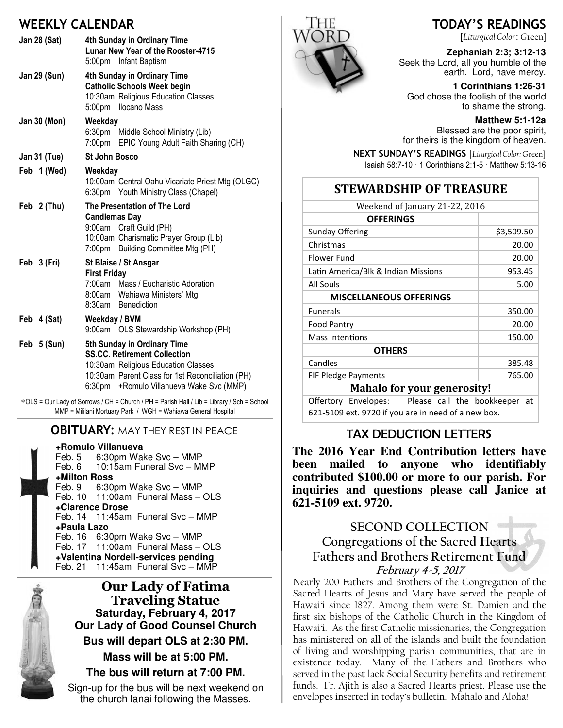## WEEKLY CALENDAR

|                     | WEEKLY CALENDAK                                                                                                                                                                                              |  |
|---------------------|--------------------------------------------------------------------------------------------------------------------------------------------------------------------------------------------------------------|--|
| <b>Jan 28 (Sat)</b> | 4th Sunday in Ordinary Time<br>Lunar New Year of the Rooster-4715<br>5:00pm Infant Baptism                                                                                                                   |  |
| <b>Jan 29 (Sun)</b> | 4th Sunday in Ordinary Time<br><b>Catholic Schools Week begin</b><br>10:30am Religious Education Classes<br>5:00pm Ilocano Mass                                                                              |  |
| Jan 30 (Mon)        | Weekday<br>6:30pm Middle School Ministry (Lib)<br>7:00pm EPIC Young Adult Faith Sharing (CH)                                                                                                                 |  |
| Jan 31 (Tue)        | <b>St John Bosco</b>                                                                                                                                                                                         |  |
| Feb 1 (Wed)         | Weekday<br>10:00am Central Oahu Vicariate Priest Mtg (OLGC)<br>6:30pm Youth Ministry Class (Chapel)                                                                                                          |  |
| Feb 2 (Thu)         | The Presentation of The Lord<br><b>Candlemas Day</b><br>9:00am Craft Guild (PH)<br>10:00am Charismatic Prayer Group (Lib)<br>7:00pm Building Committee Mtg (PH)                                              |  |
| Feb 3 (Fri)         | St Blaise / St Ansgar<br><b>First Friday</b><br>7:00am Mass / Eucharistic Adoration<br>8:00am Wahiawa Ministers' Mtg<br>8:30am Benediction                                                                   |  |
| Feb 4 (Sat)         | Weekday / BVM<br>9:00am OLS Stewardship Workshop (PH)                                                                                                                                                        |  |
| Feb 5 (Sun)         | 5th Sunday in Ordinary Time<br><b>SS.CC. Retirement Collection</b><br>10:30am Religious Education Classes<br>10:30am Parent Class for 1st Reconciliation (PH)<br>+Romulo Villanueva Wake Svc (MMP)<br>6:30pm |  |

∗OLS = Our Lady of Sorrows / CH = Church / PH = Parish Hall / Lib = Library / Sch = School MMP = Mililani Mortuary Park / WGH = Wahiawa General Hospital

### **OBITUARY: MAY THEY REST IN PEACE**

**+Romulo Villanueva** Feb. 5 6:30pm Wake Svc – MMP<br>Feb. 6 10:15am Funeral Svc – MI 10:15am Funeral Svc – MMP **+Milton Ross**

6:30pm Wake Svc – MMP Feb. 10 11:00am Funeral Mass - OLS **+Clarence Drose** Feb. 14 11:45am Funeral Svc – MMP **+Paula Lazo** Feb. 16 6:30pm Wake Svc – MMP Feb. 17 11:00am Funeral Mass – OLS

**+Valentina Nordell-services pending** Feb. 21 11:45am Funeral Svc – MMP



Our Lady of Fatima Traveling Statue **Saturday, February 4, 2017 Our Lady of Good Counsel Church Bus will depart OLS at 2:30 PM. Mass will be at 5:00 PM. The bus will return at 7:00 PM.** 

Sign-up for the bus will be next weekend on the church lanai following the Masses.



## TODAY'S READINGS

[Liturgical Color: Green]

Zephaniah 2:3; 3:12**-13**  Seek the Lord, all you humble of the earth. Lord, have mercy.

**1 Corinthians 1:26-31**  God chose the foolish of the world to shame the strong.

> **Matthew 5:1-12a**  Blessed are the poor spirit,

for theirs is the kingdom of heaven.

NEXT SUNDAY'S READINGS [Liturgical Color: Green] Isaiah 58:7-10 · 1 Corinthians 2:1-5 · Matthew 5:13-16

## STEWARDSHIP OF TREASURE

| Weekend of January 21-22, 2016      |            |  |
|-------------------------------------|------------|--|
| <b>OFFERINGS</b>                    |            |  |
| Sunday Offering                     | \$3,509.50 |  |
| Christmas                           | 20.00      |  |
| Flower Fund                         | 20.00      |  |
| Latin America/Blk & Indian Missions | 953.45     |  |
| All Souls                           | 5.00       |  |
| <b>MISCELLANEOUS OFFERINGS</b>      |            |  |
| <b>Funerals</b>                     | 350.00     |  |
| <b>Food Pantry</b>                  | 20.00      |  |
| Mass Intentions                     | 150.00     |  |
| <b>OTHERS</b>                       |            |  |
| Candles                             | 385.48     |  |
| FIF Pledge Payments                 | 765.00     |  |
| Mahala far vaur generacityl         |            |  |

#### Mahalo for your generosity!

Offertory Envelopes: Please call the bookkeeper at 621-5109 ext. 9720 if you are in need of a new box.

### TAX DEDUCTION LETTERS

**The 2016 Year End Contribution letters have been mailed to anyone who identifiably contributed \$100.00 or more to our parish. For inquiries and questions please call Janice at 621-5109 ext. 9720.** 

## SECOND COLLECTION Congregations of the Sacred Hearts Fathers and Brothers Retirement Fund February 4-5, 2017

Nearly 200 Fathers and Brothers of the Congregation of the Sacred Hearts of Jesus and Mary have served the people of Hawai'i since 1827. Among them were St. Damien and the first six bishops of the Catholic Church in the Kingdom of Hawai'i. As the first Catholic missionaries, the Congregation has ministered on all of the islands and built the foundation of living and worshipping parish communities, that are in existence today. Many of the Fathers and Brothers who served in the past lack Social Security benefits and retirement funds. Fr. Ajith is also a Sacred Hearts priest. Please use the envelopes inserted in today's bulletin. Mahalo and Aloha!